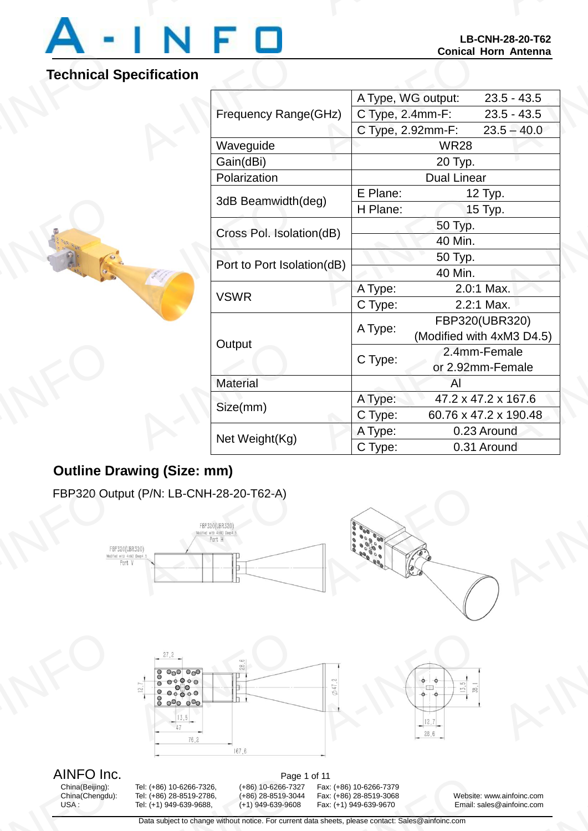# **Technical Specification** Technical S

A-INFORMATION

|                            | <b>Conical Horn Antenna</b> |                           |
|----------------------------|-----------------------------|---------------------------|
| ecification                |                             |                           |
| Frequency Range(GHz)       | A Type, WG output:          | $23.5 - 43.5$             |
|                            | C Type, 2.4mm-F:            | $23.5 - 43.5$             |
|                            | C Type, 2.92mm-F:           | $23.5 - 40.0$             |
| Waveguide                  | <b>WR28</b>                 |                           |
| Gain(dBi)                  | 20 Typ.                     |                           |
| Polarization               | <b>Dual Linear</b>          |                           |
| 3dB Beamwidth(deg)         | E Plane:                    | 12 Typ.                   |
|                            | H Plane:                    | 15 Typ.                   |
| Cross Pol. Isolation(dB)   | 50 Typ.                     |                           |
|                            | 40 Min.                     |                           |
| Port to Port Isolation(dB) | 50 Typ.                     |                           |
|                            | 40 Min.                     |                           |
| <b>VSWR</b>                | A Type:                     | 2.0:1 Max.                |
|                            | C Type:                     | 2.2:1 Max.                |
| Output                     | A Type:                     | FBP320(UBR320)            |
|                            |                             | (Modified with 4xM3 D4.5) |
|                            | C Type:                     | 2.4mm-Female              |
|                            |                             | or 2.92mm-Female          |
| <b>Material</b>            | Al                          |                           |
| Size(mm)                   | A Type:                     | 47.2 x 47.2 x 167.6       |
|                            | C Type:                     | 60.76 x 47.2 x 190.48     |
| Net Weight(Kg)             | A Type:                     | 0.23 Around               |
|                            | C Type:                     | 0.31 Around               |

# **Outline Drawing (Size: mm)**



AINFU INC<br>China(Beijing):<br>China(Chengdu):<br>USA :

Page<br>
Tel: (+86) 10-6266-7326, (+86) 10-6266-732<br>
Tel: (+86) 28-8519-2786, (+86) 28-8519-304<br>
Tel: (+1) 949-639-9688, (+1) 949-639-9608<br>
Data subject to change without notice. For currency

China(Beijing): Tel: (+86) 10-6266-7326, (+86) 10-6266-7327 Fax: (+86) 10-6266-7379 China(Chengdu): Tel: (+86) 28-8519-2786, (+86) 28-8519-3044 Fax: (+86) 28-8519-3068 Website: www.ainfoinc.com f 11<br>
Fax: (+86) 10-6266-7379<br>
Fax: (+86) 28-8519-3068 Website:<br>
Fax: (+1) 949-639-9670 Email: sand<br>
a sheets, please contact: Sales@ainfoinc.com

Email: sales@ainfoinc.com A-INFO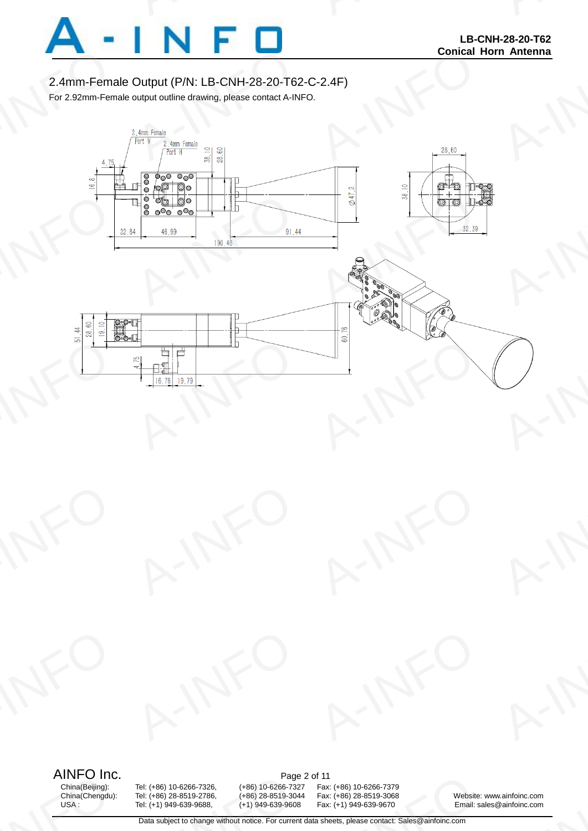

### 2.4mm-Female Output (P/N: LB-CNH-28-20-T62-C-2.4F)

For 2.92mm-Female output outline drawing, please contact A-INFO.



AINFO Inc.<br>China(Beijing): Tel: (+86) 10-6266-7326, (+86) 10-6266-7327 Fax AINFU INC<br>China(Beijing):<br>China(Chengdu):<br>USA :

Page<br>
Tel: (+86) 10-6266-7326, (+86) 10-6266-732<br>
Tel: (+86) 28-8519-2786, (+86) 28-8519-304<br>
Tel: (+1) 949-639-9688, (+1) 949-639-9608<br>
Data subject to change without notice. For currency

China(Beijing): Tel: (+86) 10-6266-7326, (+86) 10-6266-7327 Fax: (+86) 10-6266-7379 China(Chengdu): Tel: (+86) 28-8519-2786, (+86) 28-8519-3044 Fax: (+86) 28-8519-3068 Website: www.ainfoinc.com<br>
USA : Tel: (+1) 949-639-9688, (+1) 949-639-9608 Fax: (+1) 949-639-9670 Email: sales@ainfoinc.com f 11<br>
Fax: (+86) 10-6266-7379<br>
Fax: (+86) 28-8519-3068 Website:<br>
Fax: (+1) 949-639-9670 Email: sand<br>
a sheets, please contact: Sales@ainfoinc.com

Email: sales@ainfoinc.com A-INFO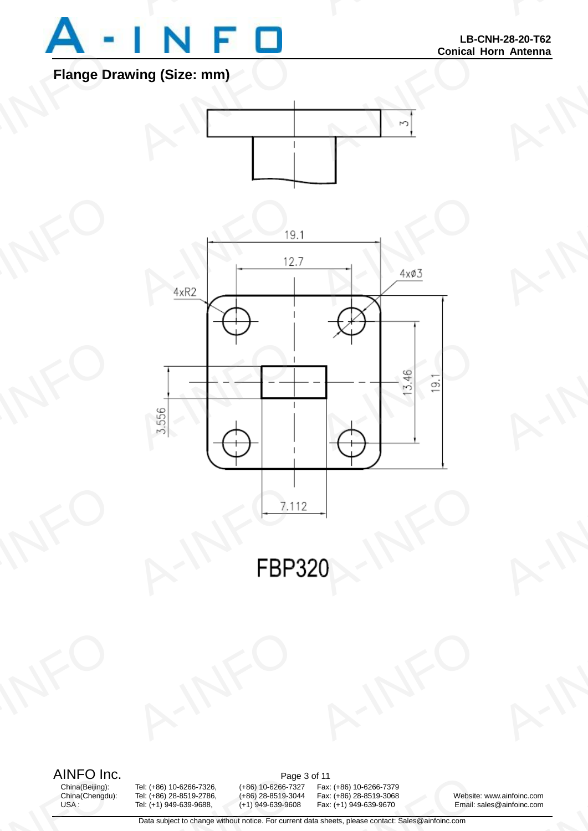

# **Flange Drawing (Size: mm)**



AINFO Inc.<br>China(Beijing): Tel: (+86) 10-6266-7326, (+86) 10-6266-7327 Fax AINFU INC<br>China(Beijing):<br>China(Chengdu):<br>USA :

China(Beijing): Tel: (+86) 10-6266-7326, (+86) 10-6266-7327 Fax: (+86) 10-6266-7379 China(Chengdu): Tel: (+86) 28-8519-2786, (+86) 28-8519-3044 Fax: (+86) 28-8519-3068 Website: www.ainfoinc.com USA : USA : Tel: (+86) 28-8519-2786, (+86) 28-8519-3044 Fax: (+86) 28-8519-3068 Website: www.ainfoinc.com<br>USA : Tel: (+1) 949-639-9688, (+1) 949-639-9608 Fax: (+1) 949-639-9670 Email: sales@ainfoinc.com (+86) 10-6266-7327<br>(+86) 28-8519-3044<br>(+1) 949-639-9608 f 11<br>
Fax: (+86) 10-6266-7379<br>
Fax: (+86) 28-8519-3068 Website:<br>
Fax: (+1) 949-639-9670 Email: sand<br>
a sheets, please contact: Sales@ainfoinc.com

A-INFO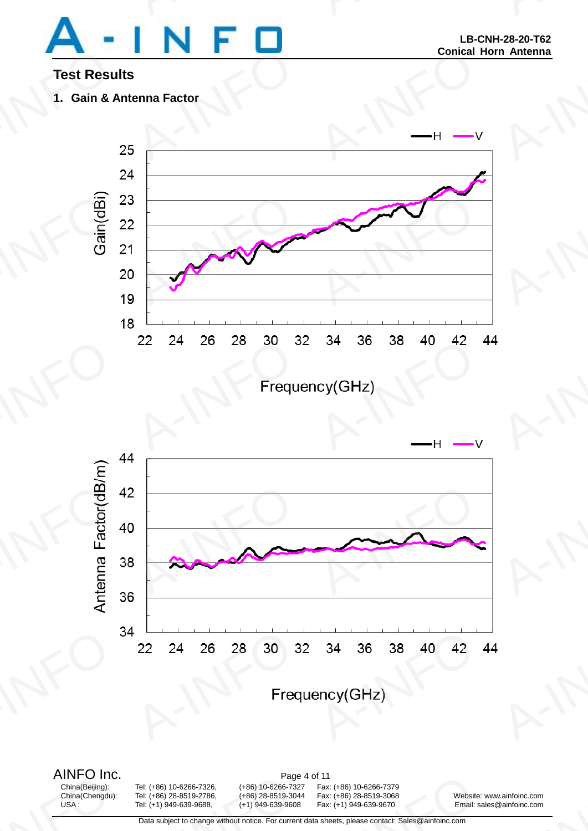

## **Test Results**

**1. Gain & Antenna Factor**







Page<br>
Tel: (+86) 10-6266-7326, (+86) 10-6266-732<br>
Tel: (+86) 28-8519-2786, (+86) 28-8519-304<br>
Tel: (+1) 949-639-9688, (+1) 949-639-9608<br>
Data subject to change without notice. For currency

China(Beijing): Tel: (+86) 10-6266-7326, (+86) 10-6266-7327 Fax: (+86) 10-6266-7379 China(Chengdu): Tel: (+86) 28-8519-2786, (+86) 28-8519-3044 Fax: (+86) 28-8519-3068 Website: www.ainfoinc.com USA : Tel: (+1) 949-639-9688, (+1) 949-639-9608 Fax: (+1) 949-639-9670 Email: sales@ainfoinc.com f 11<br>
Fax: (+86) 10-6266-7379<br>
Fax: (+86) 28-8519-3068 Website:<br>
Fax: (+1) 949-639-9670 Email: sand<br>
a sheets, please contact: Sales@ainfoinc.com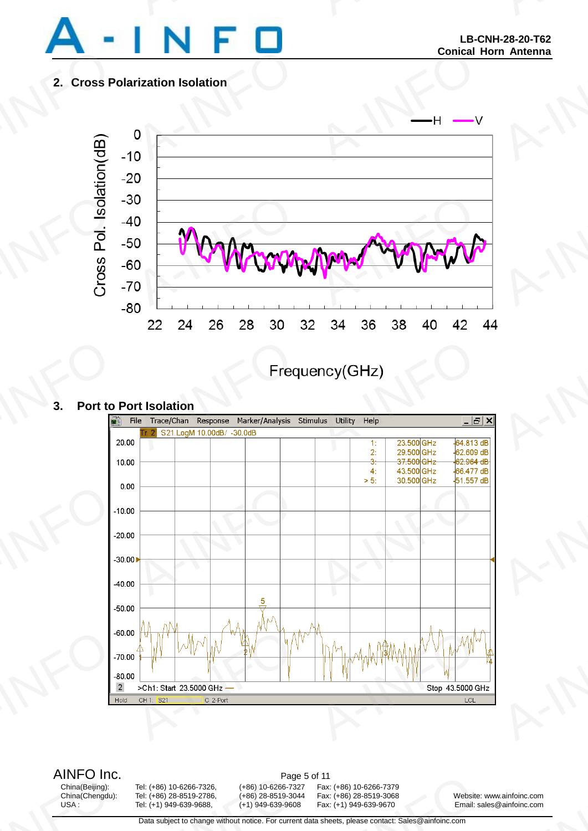

## **2. Cross Polarization Isolation**



# **3. Port to Port Isolation** 3. Port to



AINFO Inc.<br>China(Beijing): Tel: (+86) 10-6266-7326, (+86) 10-6266-7327 Fax AINFU INC<br>China(Beijing):<br>China(Chengdu):<br>USA :

Page<br>
Tel: (+86) 10-6266-7326, (+86) 10-6266-732<br>
Tel: (+86) 28-8519-2786, (+86) 28-8519-304<br>
Tel: (+1) 949-639-9688, (+1) 949-639-9608<br>
Data subject to change without notice. For currency

China(Beijing): Tel: (+86) 10-6266-7326, (+86) 10-6266-7327 Fax: (+86) 10-6266-7379 China(Chengdu): Tel: (+86) 28-8519-2786, (+86) 28-8519-3044 Fax: (+86) 28-8519-3068 Website: www.ainfoinc.com

Tel: (+1) 949-639-9688, (+1) 949-639-9608 Fax: (+1) 949-639-9670 Email: sales@ainfoinc.com f 11<br>
Fax: (+86) 10-6266-7379<br>
Fax: (+86) 28-8519-3068 Website:<br>
Fax: (+1) 949-639-9670 Email: sand<br>
a sheets, please contact: Sales@ainfoinc.com

A-INFO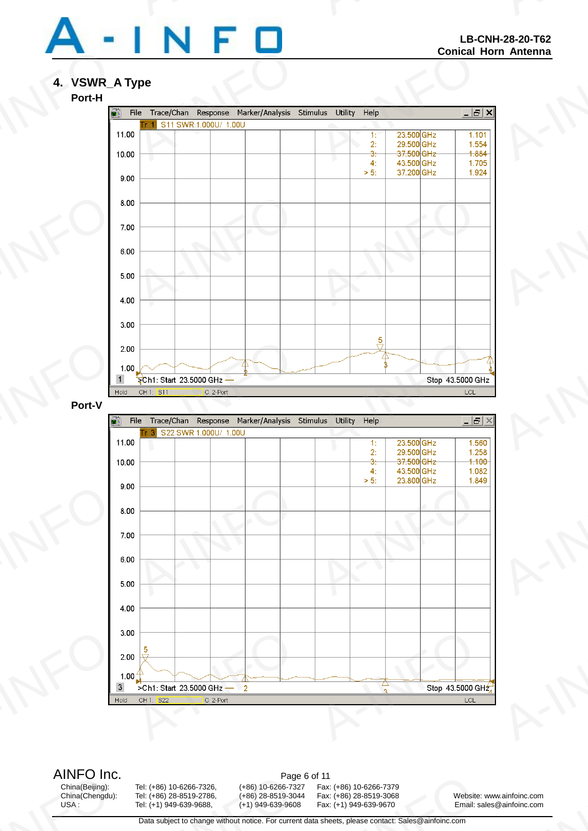

## **4. VSWR\_A Type**

#### **Port-H**

**ype**<br>
File Trace/Chan Response Marker/Analysis<br>
Trace/Shan Response Marker/Analysis<br>
Trace/Shan Response Marker/Analysis<br>
Analysis<br>
Trace/Order Marker/Analysis<br>
Trace/Shan Response Marker/Analysis<br>
Trace/Shan Response Mar  $\begin{tabular}{|c|c|c|c|} \hline \textbf{Conical} & \textbf{\\ \hline \textbf{E} & \textbf{B} & \textbf{B} \\ \hline \textbf{E} & \textbf{B} & \textbf{B} \\ \hline \textbf{E} & \textbf{B} & \textbf{B} & \textbf{B} \\ \hline \textbf{E} & \textbf{B} & \textbf{B} & \textbf{B} \\ \hline \textbf{E} & \textbf{B} & \textbf{B} & \textbf{B} & \textbf{B} \\ \hline \textbf{E} & \textbf{B} & \textbf{B} & \textbf{B} & \textbf{B} & \text$ 37.200 GHz  $> 5$ 1.924  $9.00$ A-INFO A-INFO A-INFO 3.00 Port-V P<br>
PCh1: Start 23.5000 GHz<br>
CH1: S11 C 2-Port<br>
File Trace/Chan Response Marker/Analysis<br>
Tr 3 S22 SWR 1.000U/ 1.00U  $\frac{5}{3}$ <br>Stop 43.5000 GH<br>LCL<br>Illus Utility Help<br>1: 23.500 GHz<br>1. 23.500 GHz<br>1. 23.500 GHz

#### **Port-V**



AINFO Inc.<br>China(Beijing): Tel: (+86) 10-6266-7326, (+86) 10-6266-7327 Fax AINFU INC<br>China(Beijing):<br>China(Chengdu):<br>USA :

Page<br>
Tel: (+86) 10-6266-7326, (+86) 10-6266-732<br>
Tel: (+86) 28-8519-2786, (+86) 28-8519-304<br>
Tel: (+1) 949-639-9688, (+1) 949-639-9608<br>
Data subject to change without notice. For currency

China(Beijing): Tel: (+86) 10-6266-7326, (+86) 10-6266-7327 Fax: (+86) 10-6266-7379

China(Chengdu): Tel: (+86) 28-8519-2786, (+86) 28-8519-3044 Fax: (+86) 28-8519-3068 Website: www.ainfoinc.com f 11<br>
Fax: (+86) 10-6266-7379<br>
Fax: (+86) 28-8519-3068 Website:<br>
Fax: (+1) 949-639-9670 Email: sand<br>
a sheets, please contact: Sales@ainfoinc.com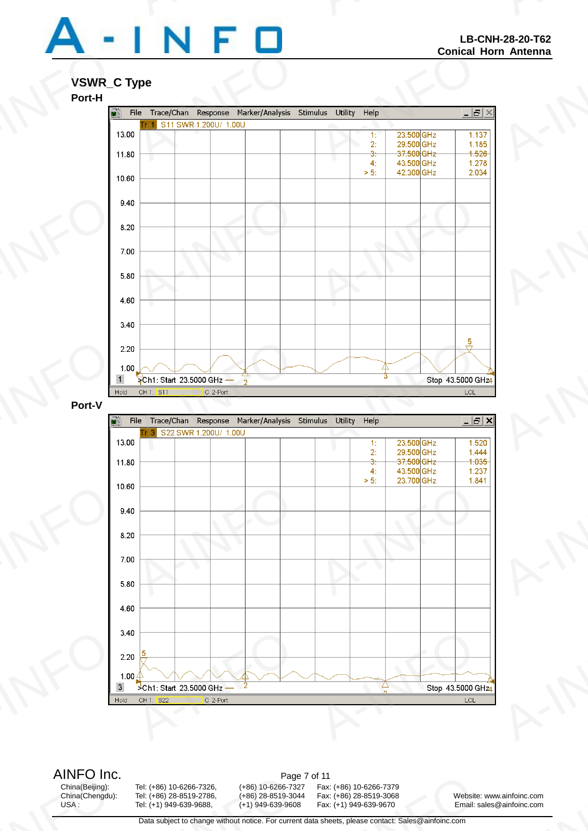

### **VSWR\_C Type Port-H**



#### **Port-V**



AINFO Inc.<br>China(Beijing): Tel: (+86) 10-6266-7326, (+86) 10-6266-7327 Fax AINFU INC<br>China(Beijing):<br>China(Chengdu):<br>USA :

China(Beijing): Tel: (+86) 10-6266-7326, (+86) 10-6266-7327 Fax: (+86) 10-6266-7379 Page<br>
Tel: (+86) 10-6266-7326, (+86) 10-6266-732<br>
Tel: (+86) 28-8519-2786, (+86) 28-8519-304<br>
Tel: (+1) 949-639-9688, (+1) 949-639-9608<br>
Data subject to change without notice. For currency

China(Chengdu): Tel: (+86) 28-8519-2786, (+86) 28-8519-3044 Fax: (+86) 28-8519-3068 Website: www.ainfoinc.com f 11<br>
Fax: (+86) 10-6266-7379<br>
Fax: (+86) 28-8519-3068 Website:<br>
Fax: (+1) 949-639-9670 Email: sand<br>
a sheets, please contact: Sales@ainfoinc.com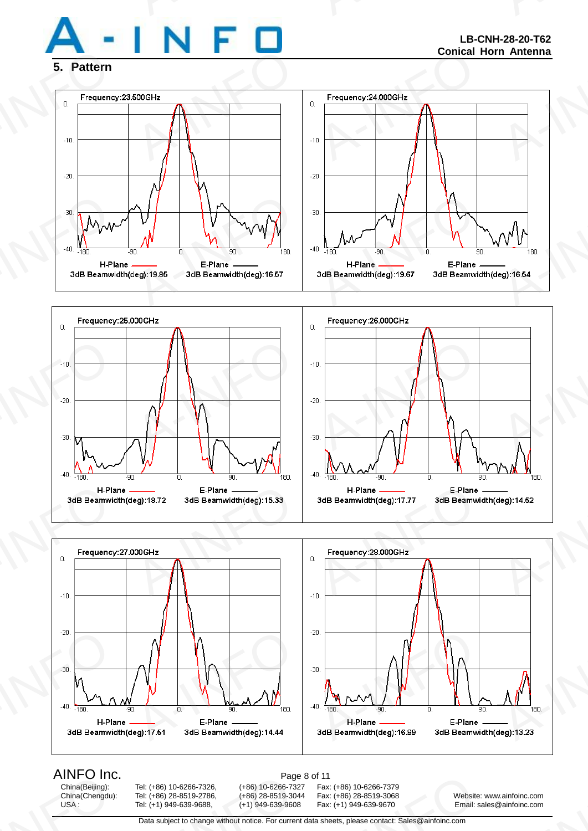







AINFU INC<br>China(Beijing):<br>China(Chengdu):<br>USA :

Page<br>
Tel: (+86) 10-6266-7326, (+86) 10-6266-732<br>
Tel: (+86) 28-8519-2786, (+86) 28-8519-304<br>
Tel: (+1) 949-639-9688, (+1) 949-639-9608<br>
Data subject to change without notice. For currency

AINFO Inc.<br>China(Beijing): Tel: (+86) 10-6266-7326, (+86) 10-6266-7327 Fax

China(Beijing): Tel: (+86) 10-6266-7326, (+86) 10-6266-7327 Fax: (+86) 10-6266-7379 China(Chengdu): Tel: (+86) 28-8519-2786, (+86) 28-8519-3044 Fax: (+86) 28-8519-3068 Website: www.ainfoinc.com f 11<br>
Fax: (+86) 10-6266-7379<br>
Fax: (+86) 28-8519-3068 Website:<br>
Fax: (+1) 949-639-9670 Email: sand<br>
a sheets, please contact: Sales@ainfoinc.com

Email: sales@ainfoinc.com A-INFO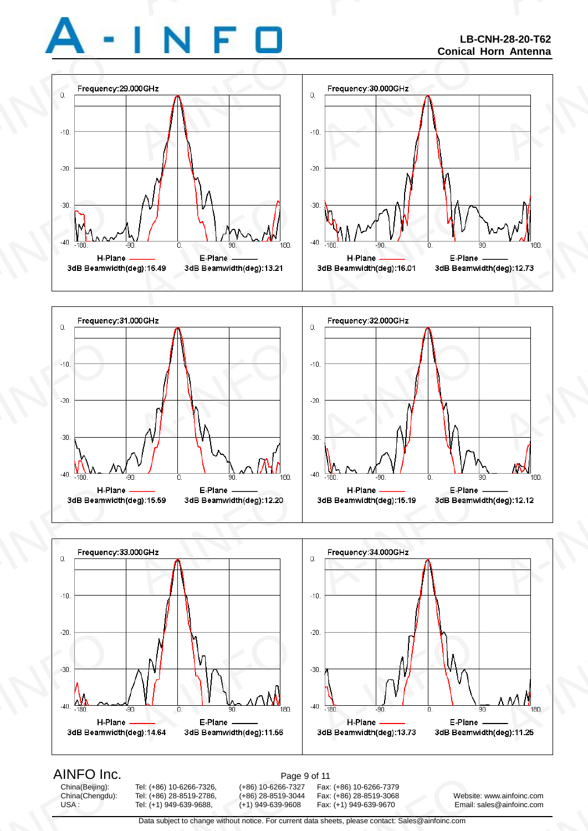







AINFU INC<br>China(Beijing):<br>China(Chengdu):<br>USA :

Page<br>
Tel: (+86) 10-6266-7326, (+86) 10-6266-732<br>
Tel: (+86) 28-8519-2786, (+86) 28-8519-304<br>
Tel: (+1) 949-639-9688, (+1) 949-639-9608<br>
Data subject to change without notice. For currency

AINFO Inc.<br>China(Beijing): Tel: (+86) 10-6266-7326, (+86) 10-6266-7327 Fax

China(Beijing): Tel: (+86) 10-6266-7326, (+86) 10-6266-7327 Fax: (+86) 10-6266-7379 China(Chengdu): Tel: (+86) 28-8519-2786, (+86) 28-8519-3044 Fax: (+86) 28-8519-3068 Website: www.ainfoinc.com f 11<br>
Fax: (+86) 10-6266-7379<br>
Fax: (+86) 28-8519-3068 Website:<br>
Fax: (+1) 949-639-9670 Email: sand<br>
a sheets, please contact: Sales@ainfoinc.com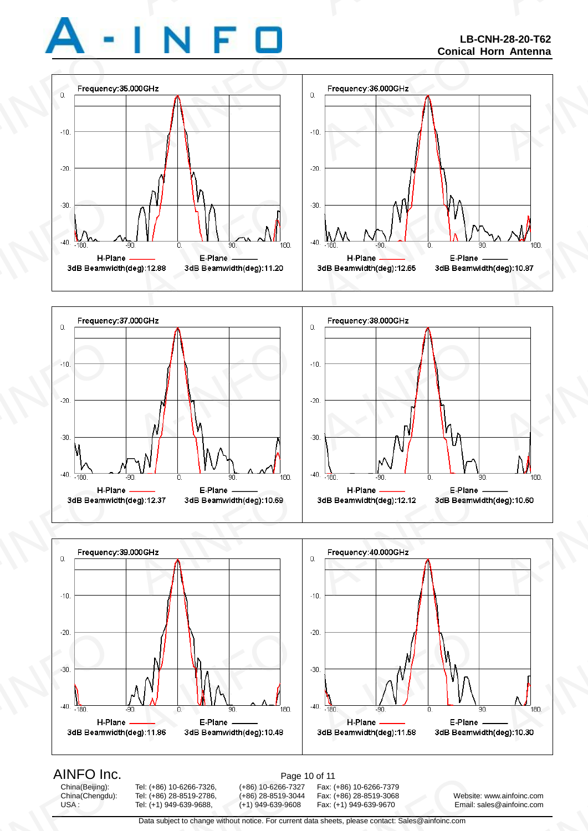







AINFU INC<br>China(Beijing):<br>China(Chengdu):<br>USA :

China(Chengdu): Tel: (+86) 28-8519-2786, (+86) 28-8519-3044 Fax: (+86) 28-8519-3068 Website: www.ainfoinc.com Page<br>
Tel: (+86) 10-6266-7326, (+86) 10-6266-732<br>
Tel: (+86) 28-8519-2786, (+86) 28-8519-304<br>
Tel: (+1) 949-639-9688, (+1) 949-639-9608<br>
Data subject to change without notice. For currency

AINFO Inc.<br>China(Beijing): Tel: (+86) 10-6266-7326, (+86) 10-6266-7327 Fax: ( China(Beijing): Tel: (+86) 10-6266-7326, (+86) 10-6266-7327 Fax: (+86) 10-6266-7379 of 11<br>
Fax: (+86) 10-6266-7379<br>
Fax: (+86) 28-8519-3068 Website:<br>
Fax: (+1) 949-639-9670 Email: sales@ainfoinc.com<br>
a sheets, please contact: Sales@ainfoinc.com